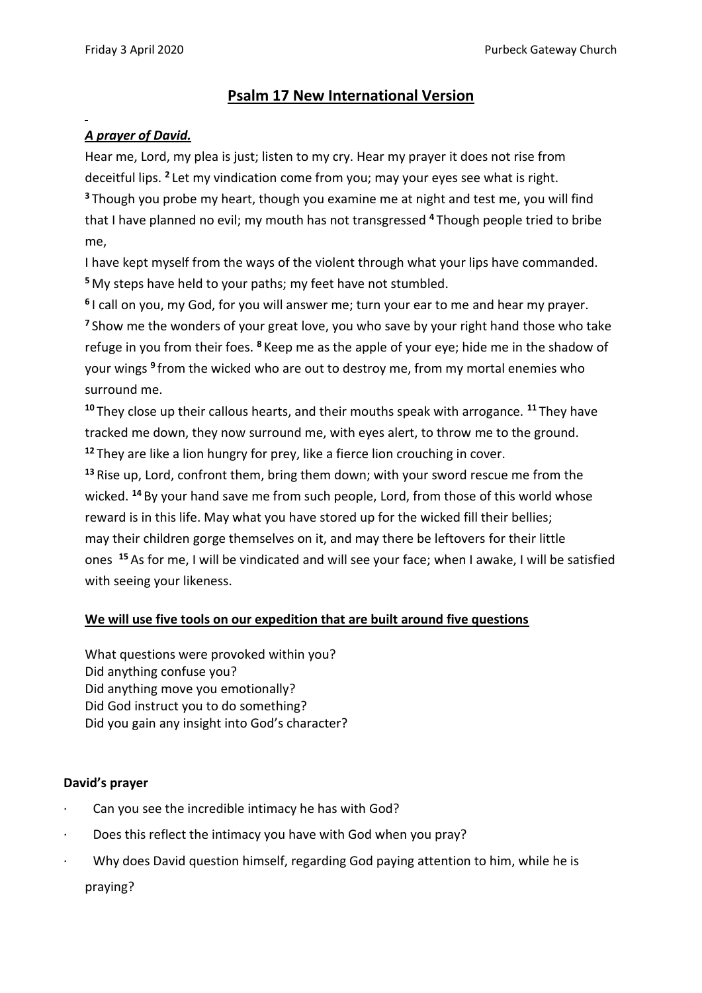## **Psalm 17 New International Version**

## *A prayer of David.*

Hear me, Lord, my plea is just; listen to my cry. Hear my prayer it does not rise from deceitful lips. **<sup>2</sup>** Let my vindication come from you; may your eyes see what is right. **<sup>3</sup>** Though you probe my heart, though you examine me at night and test me, you will find that I have planned no evil; my mouth has not transgressed **<sup>4</sup>** Though people tried to bribe me,

I have kept myself from the ways of the violent through what your lips have commanded. **<sup>5</sup>** My steps have held to your paths; my feet have not stumbled.

**6** I call on you, my God, for you will answer me; turn your ear to me and hear my prayer. **<sup>7</sup>** Show me the wonders of your great love, you who save by your right hand those who take refuge in you from their foes. **<sup>8</sup>** Keep me as the apple of your eye; hide me in the shadow of your wings **<sup>9</sup>** from the wicked who are out to destroy me, from my mortal enemies who surround me.

**<sup>10</sup>** They close up their callous hearts, and their mouths speak with arrogance. **<sup>11</sup>** They have tracked me down, they now surround me, with eyes alert, to throw me to the ground. **<sup>12</sup>** They are like a lion hungry for prey, like a fierce lion crouching in cover.

**<sup>13</sup>** Rise up, Lord, confront them, bring them down; with your sword rescue me from the wicked. **<sup>14</sup>** By your hand save me from such people, Lord, from those of this world whose reward is in this life. May what you have stored up for the wicked fill their bellies; may their children gorge themselves on it, and may there be leftovers for their little ones **<sup>15</sup>** As for me, I will be vindicated and will see your face; when I awake, I will be satisfied with seeing your likeness.

## **We will use five tools on our expedition that are built around five questions**

What questions were provoked within you? Did anything confuse you? Did anything move you emotionally? Did God instruct you to do something? Did you gain any insight into God's character?

## **David's prayer**

- Can you see the incredible intimacy he has with God?
- · Does this reflect the intimacy you have with God when you pray?
- · Why does David question himself, regarding God paying attention to him, while he is praying?